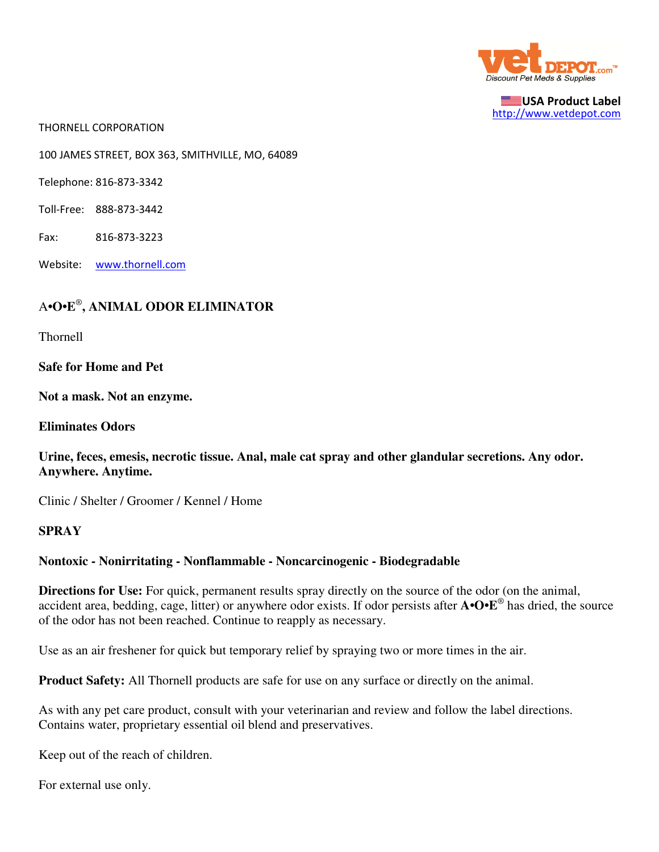

USA Product Label http://www.vetdepot.com

THORNELL CORPORATION

100 JAMES STREET, BOX 363, SMITHVILLE, MO, 64089

Telephone: 816-873-3342

Toll-Free: 888-873-3442

Fax: 816-873-3223

Website: www.thornell.com

## A**•O•E**® **, ANIMAL ODOR ELIMINATOR**

Thornell

**Safe for Home and Pet**

**Not a mask. Not an enzyme.**

**Eliminates Odors**

**Urine, feces, emesis, necrotic tissue. Anal, male cat spray and other glandular secretions. Any odor. Anywhere. Anytime.**

Clinic / Shelter / Groomer / Kennel / Home

## **SPRAY**

## **Nontoxic - Nonirritating - Nonflammable - Noncarcinogenic - Biodegradable**

**Directions for Use:** For quick, permanent results spray directly on the source of the odor (on the animal, accident area, bedding, cage, litter) or anywhere odor exists. If odor persists after **A•O•E**® has dried, the source of the odor has not been reached. Continue to reapply as necessary.

Use as an air freshener for quick but temporary relief by spraying two or more times in the air.

**Product Safety:** All Thornell products are safe for use on any surface or directly on the animal.

As with any pet care product, consult with your veterinarian and review and follow the label directions. Contains water, proprietary essential oil blend and preservatives.

Keep out of the reach of children.

For external use only.